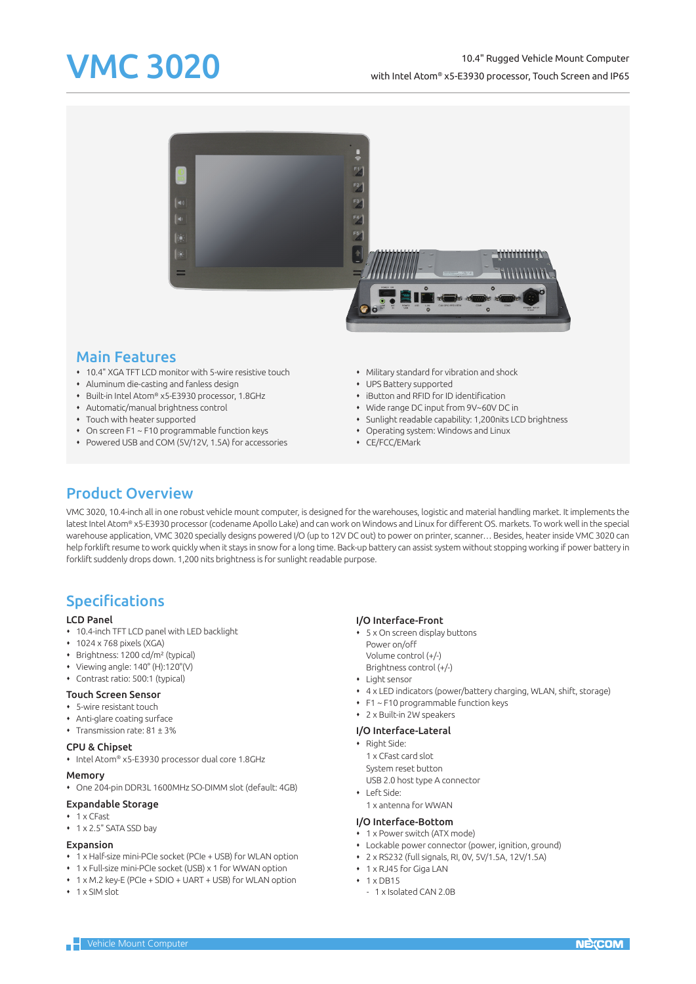### VMC 3020 10.4" Rugged Vehicle Mount Computer with Intel Atom® x5-E3930 processor, Touch Screen and IP65



### Main Features

- 10.4" XGA TFT LCD monitor with 5-wire resistive touch
- Aluminum die-casting and fanless design
- Built-in Intel Atom® x5-E3930 processor, 1.8GHz
- Automatic/manual brightness control
- Touch with heater supported
- On screen F1 ~ F10 programmable function keys
- Powered USB and COM (5V/12V, 1.5A) for accessories
- Military standard for vibration and shock
- UPS Battery supported
- iButton and RFID for ID identification
- Wide range DC input from 9V~60V DC in
- Sunlight readable capability: 1,200nits LCD brightness
- Operating system: Windows and Linux
- CE/FCC/EMark

# Product Overview

VMC 3020, 10.4-inch all in one robust vehicle mount computer, is designed for the warehouses, logistic and material handling market. It implements the latest Intel Atom® x5-E3930 processor (codename Apollo Lake) and can work on Windows and Linux for different OS. markets. To work well in the special warehouse application, VMC 3020 specially designs powered I/O (up to 12V DC out) to power on printer, scanner… Besides, heater inside VMC 3020 can help forklift resume to work quickly when it stays in snow for a long time. Back-up battery can assist system without stopping working if power battery in forklift suddenly drops down. 1,200 nits brightness is for sunlight readable purpose.

# Specifications

### LCD Panel

- 10.4-inch TFT LCD panel with LED backlight
- $\cdot$  1024 x 768 pixels (XGA)
- Brightness: 1200 cd/m² (typical)
- $\bullet\quad$  Viewing angle: 140 $\degree$  (H):120 $\degree$ (V)
- Contrast ratio: 500:1 (typical)

#### Touch Screen Sensor

- 5-wire resistant touch
- Anti-glare coating surface
- Transmission rate: 81 ± 3%

#### CPU & Chipset

• Intel Atom® x5-E3930 processor dual core 1.8GHz

#### Memory

One 204-pin DDR3L 1600MHz SO-DIMM slot (default: 4GB)

#### Expandable Storage

- $+ 1 \times C$ Fast
- 1 x 2.5" SATA SSD bay

#### Expansion

- 1 x Half-size mini-PCIe socket (PCIe + USB) for WLAN option
- 1 x Full-size mini-PCIe socket (USB) x 1 for WWAN option
- 1 x M.2 key-E (PCIe + SDIO + UART + USB) for WLAN option
- $+ 1$  x SIM slot

#### I/O Interface-Front

- 5 x On screen display buttons Power on/off Volume control (+/-) Brightness control (+/-)
- Light sensor
	-
- 4 x LED indicators (power/battery charging, WLAN, shift, storage) F1 ~ F10 programmable function keys
- 2 x Built-in 2W speakers

### I/O Interface-Lateral

• Right Side:

1 x CFast card slot

- System reset button
- USB 2.0 host type A connector
- $Lefcida:$

## 1 x antenna for WWAN

### I/O Interface-Bottom

- 1 x Power switch (ATX mode)
- Lockable power connector (power, ignition, ground)
- 2 x RS232 (full signals, RI, 0V, 5V/1.5A, 12V/1.5A)
- 1 x RJ45 for Giga LAN  $+1 \times$  DR15
- 1 x Isolated CAN 2.0B